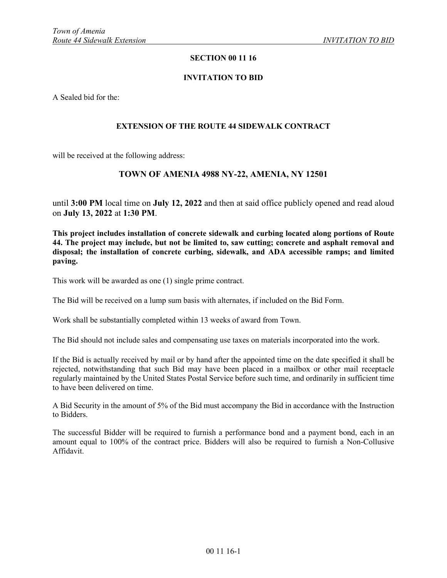# **SECTION 00 11 16**

### **INVITATION TO BID**

A Sealed bid for the:

#### **EXTENSION OF THE ROUTE 44 SIDEWALK CONTRACT**

will be received at the following address:

# **TOWN OF AMENIA 4988 NY-22, AMENIA, NY 12501**

until **3:00 PM** local time on **July 12, 2022** and then at said office publicly opened and read aloud on **July 13, 2022** at **1:30 PM**.

**This project includes installation of concrete sidewalk and curbing located along portions of Route 44. The project may include, but not be limited to, saw cutting; concrete and asphalt removal and disposal; the installation of concrete curbing, sidewalk, and ADA accessible ramps; and limited paving.** 

This work will be awarded as one (1) single prime contract.

The Bid will be received on a lump sum basis with alternates, if included on the Bid Form.

Work shall be substantially completed within 13 weeks of award from Town.

The Bid should not include sales and compensating use taxes on materials incorporated into the work.

If the Bid is actually received by mail or by hand after the appointed time on the date specified it shall be rejected, notwithstanding that such Bid may have been placed in a mailbox or other mail receptacle regularly maintained by the United States Postal Service before such time, and ordinarily in sufficient time to have been delivered on time.

A Bid Security in the amount of 5% of the Bid must accompany the Bid in accordance with the Instruction to Bidders.

The successful Bidder will be required to furnish a performance bond and a payment bond, each in an amount equal to 100% of the contract price. Bidders will also be required to furnish a Non-Collusive Affidavit.